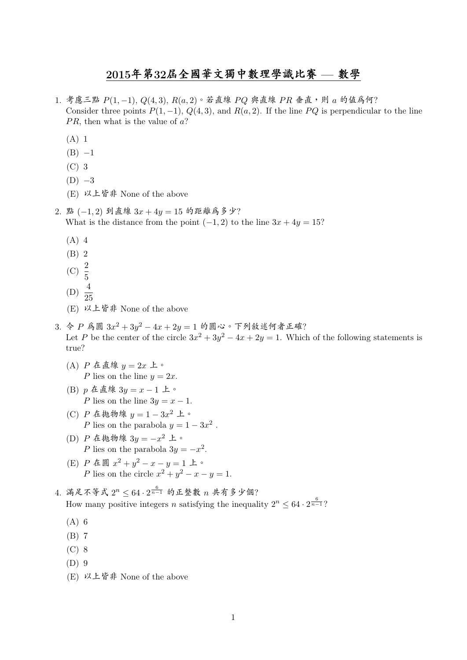## <sup>2015</sup>年第32屆全國華文獨中數理學識比<sup>賽</sup> — <sup>數</sup><sup>學</sup>

- 1. 考慮三點  $P(1, -1)$ ,  $Q(4, 3)$ ,  $R(a, 2)$ 。若直線  $PO$  與直線  $PR$  垂直, 則  $a$  的值爲何? Consider three points  $P(1, -1)$ ,  $Q(4, 3)$ , and  $R(a, 2)$ . If the line PQ is perpendicular to the line  $PR$ , then what is the value of  $a$ ?
	- (A) 1
	- $(B) -1$
	- (C) 3
	- $(D)$  -3
	- (E) 以上皆<sup>非</sup> None of the above
- 2. 點 (−1,2) 到直線  $3x + 4y = 15$  的距離為多少? What is the distance from the point  $(-1, 2)$  to the line  $3x + 4y = 15$ ?
	- (A) 4
	- (B) 2
	- (C)  $\frac{2}{5}$
	-
	- (D)  $\frac{4}{25}$
	- (E) 以上皆<sup>非</sup> None of the above
- 3. 令 P 為圓  $3x^2 + 3y^2 4x + 2y = 1$  的圓心。下列敘述何者正確? Let P be the center of the circle  $3x^2 + 3y^2 - 4x + 2y = 1$ . Which of the following statements is true?
	- (A)  $P \nightharpoonup E \nightharpoonup g$   $y = 2x \nightharpoonup \circ g$ P lies on the line  $y = 2x$ .
	- (B) <sup>p</sup> <sup>在</sup>直<sup>線</sup> <sup>3</sup><sup>y</sup> <sup>=</sup> <sup>x</sup> <sup>−</sup> <sup>1</sup> <sup>上</sup>。 P lies on the line  $3y = x - 1$ .
	- (C)  $P \n\leq \text{t}$  极物線  $y = 1 3x^2 \perp$  or  $P$  lies on the parabola  $y = 1$ . P lies on the parabola  $y = 1 - 3x^2$ .
	- (D)  $P \n\leq \text{t}$  抛物線  $3y = -x^2 \perp \text{°}$ <br> $P \text{ lies on the parabola } 3y =$ P lies on the parabola  $3y = -x^2$ .
	- (E)  $P \triangleq \mathbb{B} x^2 + y^2 x y = 1 \perp \circ$ P lies on the circle  $x^2 + y^2 - x - y = 1$ .
- 4. 滿足不等式  $2^n \leq 64 \cdot 2^{\frac{6}{n-1}}$  的正整數 n 共有多少個? How many positive integers *n* satisfying the inequality  $2^n \leq 64 \cdot 2^{\frac{6}{n-1}}$ ?
	- (A) 6
	- (B) 7
	- (C) 8
	- (D) 9
	- (E) 以上皆<sup>非</sup> None of the above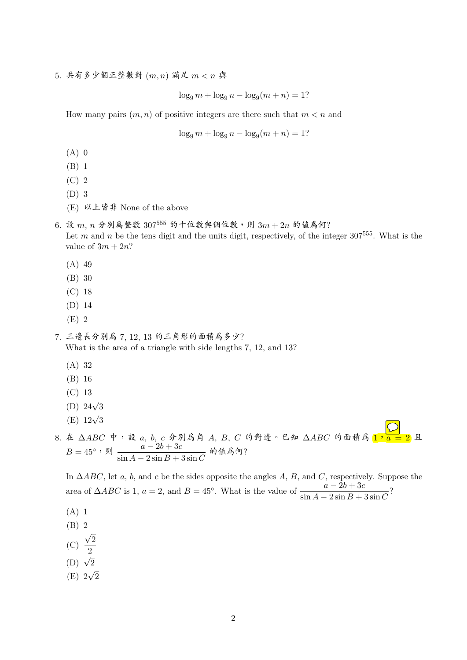5. <sup>共</sup>有多少個正整數<sup>對</sup> (m, n) <sup>滿</sup><sup>足</sup> m < n <sup>與</sup>

 $\log_9 m + \log_9 n - \log_9(m + n) = 1?$ 

How many pairs  $(m, n)$  of positive integers are there such that  $m < n$  and

$$
\log_9 m + \log_9 n - \log_9(m+n) = 1?
$$

- $(A)$  0
- (B) 1
- (C) 2
- (D) 3
- (E) 以上皆<sup>非</sup> None of the above
- $6.$ 設  $m, n$  分別為整數 307<sup>555</sup> 的十位數與個位數,則  $3m + 2n$  的值為何? Let m and n be the tens digit and the units digit, respectively, of the integer  $307^{555}$ . What is the value of  $3m + 2n$ ?
	- (A) 49
	- (B) 30
	- (C) 18
	- (D) 14
	- (E) 2
- 7. <sup>三</sup>邊長分別<sup>為</sup> <sup>7</sup>, <sup>12</sup>, <sup>13</sup> 的三角形的面積為多少? What is the area of a triangle with side lengths 7, 12, and 13?
	- (A) 32
	- (B) 16
	- (C) 13
	- (D)  $24\sqrt{3}$
	- (E)  $12\sqrt{3}$
- 8. 在 △ABC 中,設 a, b, c 分別為角 A, B, C 的對邊。已知 △ABC 的面積為  $\overline{1, a} = 2$  且  $B = 45^\circ$ ,則  $\frac{a - 2b + 3c}{1}$  $\frac{u-2v+3c}{\sin A-2\sin B+3\sin C}$  的值爲何?

In  $\Delta ABC$ , let a, b, and c be the sides opposite the angles A, B, and C, respectively. Suppose the area of  $\triangle ABC$  is 1,  $a = 2$ , and  $B = 45^\circ$ . What is the value of  $\frac{a - 2b + 3c}{\sin A - 2\sin B + 3\sin C}$ ?

- (A) 1
- (B) 2 √
- (C) 2
- 2 (D)  $\sqrt{2}$
- √
- (E) 2 2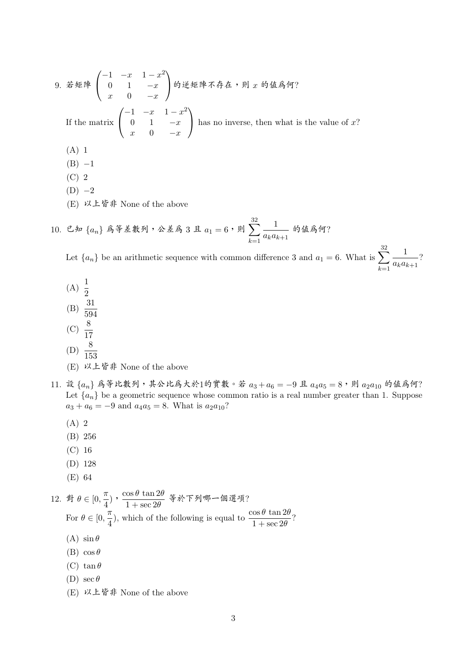9. 
$$
\dot{\mathcal{Z}} \mathcal{H} \mathbb{P} \begin{pmatrix} -1 & -x & 1-x^2 \\ 0 & 1 & -x \\ x & 0 & -x \end{pmatrix} \mathfrak{H} \mathcal{H} \mathbb{P} \mathcal{K} \mathcal{H} \mathbb{P} \mathcal{K} \mathcal{H} \mathcal{H} \mathcal{H} \mathcal{H} \mathcal{H} \mathcal{H} \mathcal{H} \mathcal{H} \mathcal{H} \mathcal{H} \mathcal{H} \mathcal{H} \mathcal{H} \mathcal{H} \mathcal{H} \mathcal{H} \mathcal{H} \mathcal{H} \mathcal{H} \mathcal{H} \mathcal{H} \mathcal{H} \mathcal{H} \mathcal{H} \mathcal{H} \mathcal{H} \mathcal{H} \mathcal{H} \mathcal{H} \mathcal{H} \mathcal{H} \mathcal{H} \mathcal{H} \mathcal{H} \mathcal{H} \mathcal{H} \mathcal{H} \mathcal{H} \mathcal{H} \mathcal{H} \mathcal{H} \mathcal{H} \mathcal{H} \mathcal{H} \mathcal{H} \mathcal{H} \mathcal{H} \mathcal{H} \mathcal{H} \mathcal{H} \mathcal{H} \mathcal{H} \mathcal{H} \mathcal{H} \mathcal{H} \mathcal{H} \mathcal{H} \mathcal{H} \mathcal{H} \mathcal{H} \mathcal{H} \mathcal{H} \mathcal{H} \mathcal{H} \mathcal{H} \mathcal{H} \mathcal{H} \mathcal{H} \mathcal{H} \mathcal{H} \mathcal{H} \mathcal{H} \mathcal{H} \mathcal{H} \mathcal{H} \mathcal{H} \mathcal{H} \mathcal{H} \mathcal{H} \mathcal{H} \mathcal{H} \mathcal{H} \mathcal{H} \mathcal{H} \mathcal{H} \mathcal{H} \mathcal{H} \mathcal{H} \mathcal{H} \mathcal{H} \mathcal{H} \mathcal{H} \mathcal{H} \mathcal{H} \mathcal{H} \mathcal{H} \mathcal{H} \mathcal{H} \mathcal{H} \mathcal{H} \mathcal{H} \mathcal{H} \mathcal{H} \mathcal{H} \mathcal{H} \mathcal{H} \mathcal{H
$$

(E) 以上皆<sup>非</sup> None of the above

10. 已知 $\{a_n\}$  爲等差數列,公差爲 3 且  $a_1 = 6$ ,則 32  $k=1$ 1  $\frac{1}{a_ka_{k+1}}$  的值爲何?

Let  $\{a_n\}$  be an arithmetic sequence with common difference 3 and  $a_1 = 6$ . What is  $\sum$ 32  $k=1$ 1  $\frac{1}{a_ka_{k+1}}$ ?

- (A)  $\frac{1}{2}$ (B)  $\frac{31}{594}$ (C)  $\frac{8}{17}$
- (D)  $\frac{8}{153}$
- 
- (E) 以上皆<sup>非</sup> None of the above
- 11. 設  $\{a_n\}$  為等比數列, 其公比為大於1的實數。若  $a_3 + a_6 = -9$  且  $a_4a_5 = 8$ , 則  $a_2a_{10}$  的值為何? Let  ${a_n}$  be a geometric sequence whose common ratio is a real number greater than 1. Suppose  $a_3 + a_6 = -9$  and  $a_4a_5 = 8$ . What is  $a_2a_{10}$ ?
	- (A) 2
	- (B) 256
	- (C) 16
	- (D) 128
	- (E) 64

12. 
$$
\# \theta \in [0, \frac{\pi}{4})
$$
,  $\frac{\cos \theta \tan 2\theta}{1 + \sec 2\theta} \ \ \frac{\pi}{4}$ , which of the following is equal to  $\frac{\cos \theta \tan 2\theta}{1 + \sec 2\theta}$ ?  
\n(A)  $\sin \theta$   
\n(B)  $\cos \theta$ 

- (C) tan  $\theta$
- (D)  $\sec \theta$
- (E) 以上皆<sup>非</sup> None of the above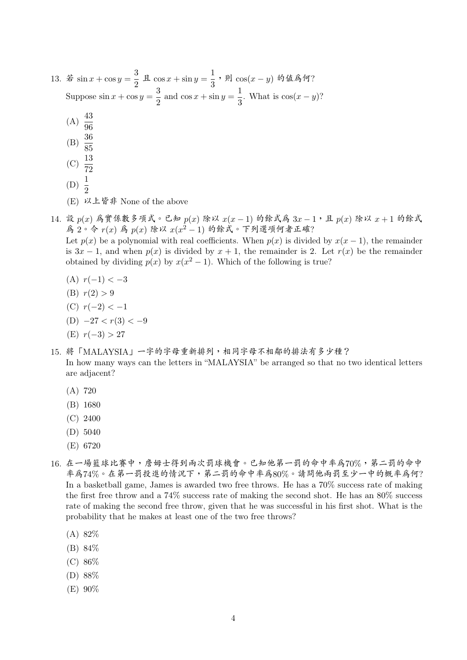| 13. 若 sin $x + \cos y = \frac{3}{2}$ 且 $\cos x + \sin y = \frac{1}{3}$ , 則 $\cos(x - y)$ 的值為何?        |
|-------------------------------------------------------------------------------------------------------|
| Suppose $\sin x + \cos y = \frac{3}{2}$ and $\cos x + \sin y = \frac{1}{3}$ . What is $\cos(x - y)$ ? |
| (A) $\frac{43}{96}$                                                                                   |
| (B) $\frac{36}{85}$                                                                                   |
| (C) $\frac{13}{72}$                                                                                   |
| (D) $\frac{1}{2}$                                                                                     |

- (E) 以上皆<sup>非</sup> None of the above
- 14. 設  $p(x)$  為實係數多項式。已知  $p(x)$  除以  $x(x-1)$  的餘式為  $3x-1$ , 且  $p(x)$  除以  $x+1$  的餘式 為 2。令 r(x) 為 p(x)除以 x(x<sup>2</sup> - 1) 的餘式。下列選項何者正確? Let  $p(x)$  be a polynomial with real coefficients. When  $p(x)$  is divided by  $x(x - 1)$ , the remainder

is  $3x - 1$ , and when  $p(x)$  is divided by  $x + 1$ , the remainder is 2. Let  $r(x)$  be the remainder obtained by dividing  $p(x)$  by  $x(x^2 - 1)$ . Which of the following is true?

- (A)  $r(-1) < -3$
- (B)  $r(2) > 9$
- (C)  $r(-2) < -1$
- (D)  $-27 < r(3) < -9$
- (E) r(−3) > 27
- 15. <sup>將</sup>「MALAYSIA」一字的字母重新排列,相同字母不相鄰的排法有多少種?

In how many ways can the letters in "MALAYSIA" be arranged so that no two identical letters are adjacent?

- (A) 720
- (B) 1680
- (C) 2400
- (D) 5040
- (E) 6720
- 16. <sup>在</sup>一場籃球比賽中,詹姆士得到兩次罰球機會。已知他第一罰的命中率為70%,第二罰的命<sup>中</sup> <sup>率</sup>為74%。在第一罰投進的情況下,第二罰的命中率為80%。請問他兩罰至少一中的概率為何? In a basketball game, James is awarded two free throws. He has a 70% success rate of making the first free throw and a 74% success rate of making the second shot. He has an 80% success rate of making the second free throw, given that he was successful in his first shot. What is the probability that he makes at least one of the two free throws?
	- (A) 82%
	- (B) 84%
	- (C) 86%
	- (D) 88%
	- (E) 90%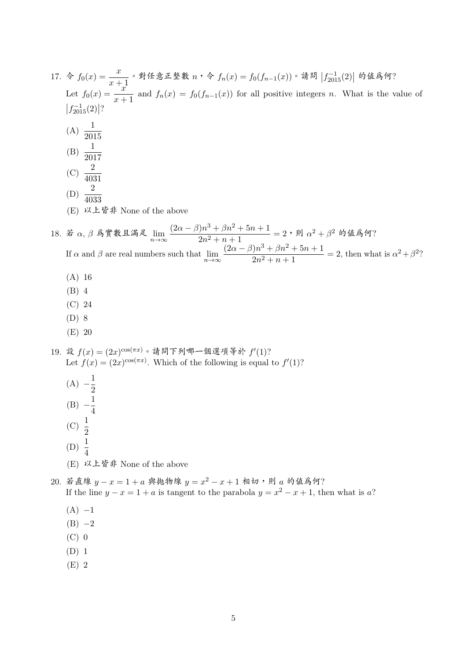| 17. 令 $f_0(x) = \frac{x}{x+1}$ 。對任意正整數 $n \cdot \diamond f_n(x) = f_0(f_{n-1}(x))$ 。請問 $ f_{2015}^{-1}(2) $ 的值為何?                                                                                                                                                                                                                        |
|------------------------------------------------------------------------------------------------------------------------------------------------------------------------------------------------------------------------------------------------------------------------------------------------------------------------------------------|
| Let $f_0(x) = \frac{x}{x+1}$ and $f_n(x) = f_0(f_{n-1}(x))$ for all positive integers n. What is the value of                                                                                                                                                                                                                            |
| $ f_{2015}^{-1}(2) $ ?                                                                                                                                                                                                                                                                                                                   |
| (A) $\frac{1}{2015}$                                                                                                                                                                                                                                                                                                                     |
|                                                                                                                                                                                                                                                                                                                                          |
| (B) $\frac{1}{2017}$                                                                                                                                                                                                                                                                                                                     |
| (C) $\frac{2}{4031}$                                                                                                                                                                                                                                                                                                                     |
| (D) $\frac{2}{4033}$                                                                                                                                                                                                                                                                                                                     |
| (E) 以上皆非 None of the above                                                                                                                                                                                                                                                                                                               |
|                                                                                                                                                                                                                                                                                                                                          |
|                                                                                                                                                                                                                                                                                                                                          |
| 18. 若 $\alpha$ , $\beta$ 爲實數且滿足 $\lim_{n\to\infty} \frac{(2\alpha - \beta)n^3 + \beta n^2 + 5n + 1}{2n^2 + n + 1} = 2$ , 則 $\alpha^2 + \beta^2$ 的值爲何?<br>If $\alpha$ and $\beta$ are real numbers such that $\lim_{n\to\infty} \frac{(2\alpha - \beta)n^3 + \beta n^2 + 5n + 1}{2n^2 + n + 1} = 2$ , then what is $\alpha^2 + \beta^2$ ? |
| $(A)$ 16                                                                                                                                                                                                                                                                                                                                 |
| $(B)$ 4                                                                                                                                                                                                                                                                                                                                  |
| (C) 24                                                                                                                                                                                                                                                                                                                                   |
| $(D)$ 8                                                                                                                                                                                                                                                                                                                                  |
| $(E)$ 20                                                                                                                                                                                                                                                                                                                                 |
| 19. 設 $f(x) = (2x)^{\cos(\pi x)}$ 。請問下列哪一個選項等於 $f'(1)$ ?<br>Let $f(x) = (2x)^{\cos(\pi x)}$ . Which of the following is equal to $f'(1)$ ?                                                                                                                                                                                               |
| (A) $-\frac{1}{2}$                                                                                                                                                                                                                                                                                                                       |
|                                                                                                                                                                                                                                                                                                                                          |
| (B) $-\frac{1}{4}$                                                                                                                                                                                                                                                                                                                       |
| $\frac{1}{2}$<br>(C)                                                                                                                                                                                                                                                                                                                     |
| (D) $\frac{1}{4}$                                                                                                                                                                                                                                                                                                                        |
| (E) 以上皆非 None of the above                                                                                                                                                                                                                                                                                                               |
| 20. 若直線 $y - x = 1 + a$ 與拋物線 $y = x^2 - x + 1$ 相切, 則 $a$ 的值為何?                                                                                                                                                                                                                                                                           |
| If the line $y - x = 1 + a$ is tangent to the parabola $y = x^2 - x + 1$ , then what is a?                                                                                                                                                                                                                                               |
| $(A) -1$                                                                                                                                                                                                                                                                                                                                 |
| $(B) -2$                                                                                                                                                                                                                                                                                                                                 |
| $(C)$ 0                                                                                                                                                                                                                                                                                                                                  |
| $(D)$ 1                                                                                                                                                                                                                                                                                                                                  |
| $(E)$ 2                                                                                                                                                                                                                                                                                                                                  |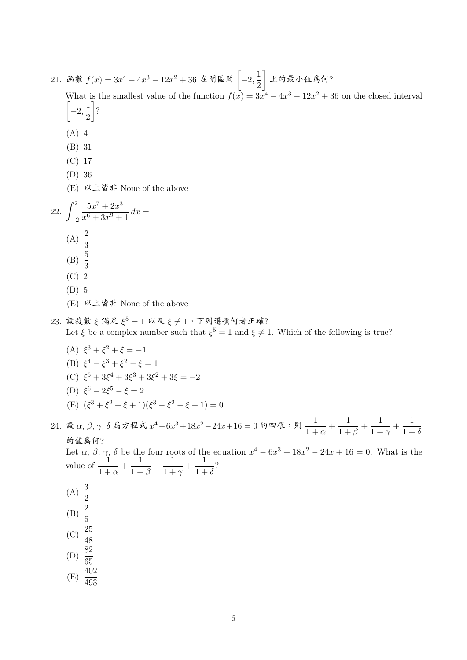- 21. 函數  $f(x) = 3x^4 4x^3 12x^2 + 36$  在閉區間  $\left[-2, \frac{1}{2}\right)$ 2 <sup>上</sup>的最小值為何? What is the smallest value of the function  $f(x) = 3x^4 - 4x^3 - 12x^2 + 36$  on the closed interval  $\left[-2, \frac{1}{2}\right]$ 2 ? (A) 4 (B) 31 (C) 17 (D) 36 (E) 以上皆<sup>非</sup> None of the above 22.  $\int_0^2$ −2  $5x^7 + 2x^3$  $\frac{3x+2x}{x^6+3x^2+1} dx =$ (A)  $\frac{2}{3}$ (B)  $\frac{5}{3}$ (C) 2 (D) 5 (E) 以上皆<sup>非</sup> None of the above 23. 設複數ξ滿足 $\xi^5 = 1$  以及ξ≠1。下列選項何者正確?<br>Let  $\xi$  be a complex number such that  $\xi^5 = 1$  and  $\xi \neq 1$ . Which of the following is true? (A)  $\xi^3 + \xi^2 + \xi = -1$ 
	- (B)  $\xi^4 \xi^3 + \xi^2 \xi = 1$ (C)  $\xi^5 + 3\xi^4 + 3\xi^3 + 3\xi^2 + 3\xi = -2$ (D)  $\xi^6 - 2\xi^5 - \xi = 2$ (E)  $(\xi^3 + \xi^2 + \xi + 1)(\xi^3 - \xi^2 - \xi + 1) = 0$

24. 設 α, β, γ, δ 爲方程式  $x^4 - 6x^3 + 18x^2 - 24x + 16 = 0$  的四根,則  $\frac{1}{1 +}$  $\frac{1}{1 + \alpha} + \frac{1}{1 + \alpha}$  $\frac{1}{1+\beta} + \frac{1}{1+\beta}$  $\frac{1}{1 + \gamma} + \frac{1}{1 + \gamma}$  $1+\delta$ 的值為何?<br>Let  $\alpha$ ,  $\beta$ ,  $\gamma$ ,  $\delta$  be the four roots of the equation  $x^4 - 6x^3 + 18x^2 - 24x + 16 = 0$ . What is the value of  $\frac{1}{1+\alpha} + \frac{1}{1+\alpha}$  $\frac{1}{1+\beta} + \frac{1}{1+\beta}$  $\frac{1}{1+\gamma} + \frac{1}{1+\gamma}$  $\frac{1}{1+\delta}$ ? (A)  $\frac{3}{2}$ (B)  $\frac{2}{5}$ (C)  $\frac{25}{48}$ (D)  $\frac{82}{65}$ 

 $(E) \frac{402}{493}$